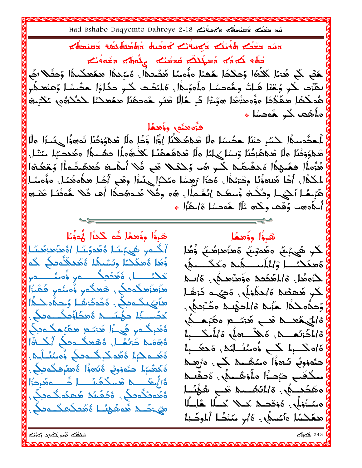Had Bshabo Daqyomto Dahroye 2-18 مَتْ يَوْمَعُكُمْ Had Bshabo Daqyomto Dahroye 2-18

بالمسلوخ عضه لمسالم المستح المستحين المستحمل المستحد المتحد

Kitara Khale Kitara Kitara Kaki tat هَبْ ﴾ هُنا للأهُ! وَحكْحًا هَعْا هَؤُمنا هُضُحِهًا. هُبَنظُا ههُعَنظُمُا وَحثُلًا اتِّي ىكَبْت لّْكُر وُحْنَا شَاتُ وِحُوصِبُـا وأُووُجِدًا. وَاعْشَت كُـرِ حَدَّاوُا حَصَّسُا وَعِنُعَـدُرِ هُمكْهُا مِكَمَّدًا وَؤُومِتُوْمًا هُوَّتْا كُرِ هُالًا مْنُو هُوحِمُلًا مِعَصِكْنًا حَثَكَوُّو، عَكْرَءَه أەلمۇھە بىلار مەھمىللى :

## فأوهثم وؤهما

لْمَحْمِيجُا ۖ حَيْبَ حِيْبًا ۚ مَحْسَبًا وَلَّا شَدْفَعَكَنَّا إِذًا ذَكَرَ وَلَّا شَدْوَٰذِكُمْ نُوهزًا جِنّب أ هْدْوَوْضُا هِ لَا شَدْهَٰذِكُمْ وَسُلِّ لِكُلَّ هِ لَا شَدْهَٰمِشُلْ كَلُّـرْهُمْاً حَشَـداً وَ مَحْدَدَعِ مَتْتَاب هُنُّواٰ! فَهُنهِمَٰ! وَحَفَّيْكُمْ كُبِ هُبَ وَحَكْمًا هُبِ ثَلاَ أَحِدْتُو كَعِنْفُواْ! وَحْقَدُوْا لْمَحْكُمَا. أَصُّا هَدُوفُمَا وِحْتِمُكُمَا. وَحَدَّا رَحِمْنَا وَحَدْهِ الْمَحْمَادِ وَقَوْمَتُ وَقَو هَّبُـمُـا ٱلْحَيُـا وِئُكُـنَ وْسطَـدْ إِنْمُـداًا. وَه وِئَـلا مُـدوَّداً أَف ثَلا هُدَنُـا مْنْـر أَحِدُّه وه وُقْعَ وِكْلُهِ ۚ غَلَا هُوَجِئُنَا وُٱحَدُّواْ ﴾

هْبِزُا وِذَهِمًا ثُم كَحَرًا يُهِذُبًا ٱلْكُــمرِ ۖ هُيءُننَـا ةُهُدوُننَـا اةُهدَٰهدَهُننَـا وْهُا ةَملَكْمُا وِنَسُلُمُا ةَمَٰلِلْلُّوطِّ لَّكُ تَكْتُــــا. ةَمُثْتَكِــْـــمِرِ وْمَشْــــمر هَزَهَزَهگُوهِكُي. هُعَكُورِ ؤُومِنُورِ فَقَدُرَا هِزَيَّ بِكُـهِجِكِ . ةُخُهْجُرْهُـا وُحِكْهِ كَـكُل كَحُبِ ذَا حَكْمَتُ & ةَهْجَاؤُمِكْ ـِءْمَكِ . ةَهْبِكُـمْ فَيْ1ٍ هَٰنِـًا مَنْ مِعْهُمْـُـمِكِـُمْ ةَوَوَمِيمَ حَزْنُهُ لِ قَوْعِيكُ وَمِنَ أَجْرَأَةُ ا ةَهُــهكِمُ ةَهُمكْبِكُــمكُ وَّمسُــلُكَ. ةُكَعَّـٰـٰٓءُ ۖ حَنُّـٰوَوۡهُ ۖ ةُنُووۡۚ أَهۡعَنُـٰوَـٰدُوكُـٰ ۖ . ةُ أَبِعًا لِمَ شَيْدُهُنَّ لَا ذُكْمُودُا ەْھُەتلەنگى: ەْكَفَىنَدْ ھُھكەگـەنگى: مېزخـــد شەھٰوئــا ۋَمُعلَّـعتَــوحلَّـى:

شْرِدُا وذَهِمْا لْكُرِ هَٰي}ِيَنَ مَعُدَوْنَيَ هَعَنَعَنَعْنَيَ وُهُدَ ەھككئىسا ۋالملُسىسكُىك ەكگىسىگو لِّأَوْهُا. وْالْمُكَعِدْ وَفُوْتُوْهِدْيْ. وْاسْدَ لَّكُمْ هُهِتُنا هُ/حَكَّوْلُمْ. هُجَيْءَ خَرْهُا. وَحِدُّهِ حَكَّا هَنِّيْ هَ/احهْبِهِ وَصَّرْحِكِي. والمسمودة وسننهض وستقرئ الأة ةالمختصم فكالمسلاء فالمكسوط كَاهِكْبِهِ كُلِّي فُومُنُسَلَّدُ فَيَحْمَدِهِ حنُّەوْوِبُ نَـْ∞َوْۤا ەَسَّھُـْىدْ كَـُـْ. ەُرُھَـٰدْ مىڭگىم كۆكرا ەلمۇشىمە. ەدقىــــا ەھَكْھىگە . ة/لمَنْھُــىھ ھَــ ھُھُلَــا ەممَـزُوْلُم. ەُوْتْھـىلا كَـىلا كَسْلَا جَاسْلَا هِمَكْسُلُ هَٰأَمُسِكُلِّ. هَارِ مَنْنُكُمْ أَلْمُوكَنِهُ

مَنْ يَا مَلِهِ مِنْ الْمُسْتَمَرِ بِمَا يَا مَنْ الْمُسْتَمَرِ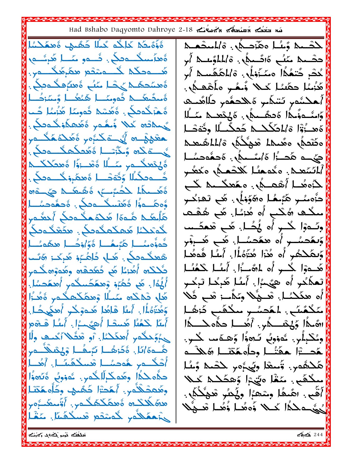Had Bshabo Daqyomto Dahroye 2-18 المُسْتَمَّة بِمَعْتُكُمْ بِمَا Had Bshabo Daqyomto Dahroye 2-18 وَّؤَمَنَّكُمْ كَلِيْكُمْ كَمِلًا خَنَّفُتِي وَْمِنْهَكْشَار لِكْسِيمْ وُسُلْ مِمَّزْكِيْنِ. وْالمَسْكَعِيمْ ةُهْرَسْتُنْدْدَهُمْ . فُسْمَوْ مَيْسَا هُرِئْسُمْ ۖ حصَّــمط مَعُلُم هَاصَّــمعُ) . هُ/لملوَّـســط أَب مُــــەكـكــه گـــــەشقـــم مكرمًكـــــــــــــم. ِّكْتُمِ تَتَ**هُ**ٰهُ! مَمَّـزُوْلُمْ. ةَالْمَّقَسِـٰهُ أَبِ ةَ مِسْحِمًا لَيْصَا سَبُ ۖ وَ مِسَرَفَكُ وَ بِكُمْ وَ عَلَيْهِ مِنْ |مَذَٰنِمَا حَمَّنَىٰا كَــلا فَــفَـبِ مِلْمُعِــمَٰىٰ. ةُممَّمَكُمْ دُومِمَّا هَمُعُمَّا وَمِمَّرْضًا أهلئتمر تتنكّبر ةكلحقّمر طائعت ةُهْزَيْدُهِكُمْ : ةَهُشَدْ شُومِمًا هُزُمُمَا كُتَ وَاسْتُوفُوهُ أَمْ دَهَــمِهُمْ . هَيْتَعَبَّدُ مَسْلًا يُهلادُه كَلا فُبِعُم وَهُدهِكُونُدُونَكُمْ . هَهــرُوْٓا هُ/لمَكْــد مَحكَــلًا وثَوْصَـل معْدْلِهُـــهِ ﴾ تَصَكّْبُومِ ةَمَكَّمَكُـــمْرِ ەكتىم ومُىما مْمِلْكُمْ وْالماھُىعىد يُ تَمْكُرُهُ وَحَذَّتْكُمْ فَاتَّحَدُهُكُ حَصَدًى بِ حِيْبِ هَدْ:ُ إِنَّهُ مَشْمَعُ بِهِ هَدَهُ حَسَّلَ ةُ لِحْمِكُــمِ مِّــأَا ةُمْــ;ذُا ةُمِحْكَكَــه أَلْمَنْكَحِكَ. وَكُوْهِنَا ݣَالْكُمْكُنْ وَكَفْسٍ دُّـــوكُىُلا وَثَّةتْـــا ةُمْعَرْوْكُـــوكِي. لأوهُــا أَهْمَــدُو. وهَعْكَــمِدْ كَبِ ةَ هَــمةَ لِمَــتَهِ مَ هُمَــهَــم حَ ــة م |دَّەمْسَر ھَڊُمْل ەھَوَّفِلُ). ھَے لَـْـفَـٰلِس وُّەھَـــەۈُل ەُھُنْسگـــەمكى. ەُجىھُەجسُـــا مىڭگە ھُڭىي اُە ھُزْمًا. ھَي ھُڪْمَ هَلَعَكِم هُـءَا مَحْكَمكُـءِحِكَم أَحْشَـء وِنَـٰدَوۡا لَكَـٰبِ أَن لَهُكَـٰا. هَٰـٰٓ هُعَكَـٰت لْكَمْلَاءُ مُعَكَّمُكُمْلَ . مَثَقَدُوكُمْ ﴿ وَنَعۡصَنُنَّـ رَأَهُ مَعۡعَـَنُنَـا ۚ. مَٓن مَّنَــٰٓ فَنُـَـٰٓ وَّبَر دُوزُومُكُمْ الْمُرْجُدَةُ وَوَارْدُكُمْ مَحْمَوْكُمْ وَبِمَحْمُدٍ أَه مُنْزَا مُتَوَٰهَٰاً. أَمِنًا هُمَمَٰاً ھَعنگــەنگی. مَّــل دُلھُــُ; مَّـٰہُــٰ: مَّانَّــٰ هَــوَا كُــرٍ أَه لِمُسَـرًا. أَسُـل كَـمُنُـل طُّكْلُه أُهُٰ;ۦُمْ كُلُّكُمْ هُوَ وَهُوَوُهِ كُلُّمَ ۖ أَتْعَكّْكُمْ أَهْ هِيَّـٰمُ}. أَمْلًا هُدِكْمًا تَرِكْسُو أَيُّدًا. هُم تُعْبَرْ وْهِمْتُسْكُمْ أُهْمُتْسَا. أَه مِنَكْسًا. مْسِيْلًا مِنْشَــ; مْسِ ثَلَا هَلِ شَمْكُلُ سُبُّلًا وْهَفَكُلْعَكُمْ وْهُدًا <mark>ا</mark> سَكْعُبُ . لمُحسُر سكْفَبِ دَهُـا وَهُتَوْمًا!. أَمِلًا قَاهُا هُدَوْكُمْ أُهْكَيِحًا. أَمَّا كَمُنَا هَبِيْدَا أُهِيَبُ}. أَمَّا فَـْ1ُ99 اشْمَاً وَلِحْسِمُرِ. أَهُــا حِمْهِكِــأَمُّا حِبُوَّحَكُم ۖ أُهكَنْمَا. أو هَثَّلا ٱنْعَمَّ وَلَٰ وِنْݣَرِلُرِ. غَەوْوِيُ نُـْھِوْا وُھــٰمَـٰ ـُـُــٰرِ. هُــوَهُ/نَا. وَدَرْهُـــا تَبْـهُــا وْلِحْبَلْــورِ حَدَّرْا حِفَتُها وِحِلْوجَنْسَا رَمَحْلَسُو أَحْكُــورِ هُوَجِسًا وَيَسْكُفِّسًا. أَهْــأَ هَٰٓۮۿؙڡڕ. ڗؙۘٮٮڠا ۥؚۑؙۥؚٛ۫؈ۭ ۮڞٛۮ؋ؙٮٮؙٳ حِدُّه كَدًا ۖ وِهُدَكَرِلَّا كُدرٍ ﴾ شَوْوِبُ ۖ وَُنُرُهُواْ سكفَى عَقْلُ وَيُرْا وَهِكُكُمْ كَبْلا ومُعضَلْكُمرِ. أَحَمَٰتْزَا حُمَّمِي وَخُلُّصَحَّصَا أَقَّعِ. اهَّعْا وسْعَرُا وهُدُو هُوَكُلُّكِي. مۇمكلىك ۋەمكككىگەن. أَوَمْمَكْرُون كُنُوبِ وَالْمُسْلَمُ الْمَحْمَلِ وَمُوسَلِمٍ مَعْلَمَ تَعْلَى الْمَعْرِضَ جَعْمَلاَمِ كُمْتْقُعْ مْسْكُفَىنَا. مَقْا

بَكْمُ الْمُوْمِ بِهِمْ بَعْدَ الْمُوْمَ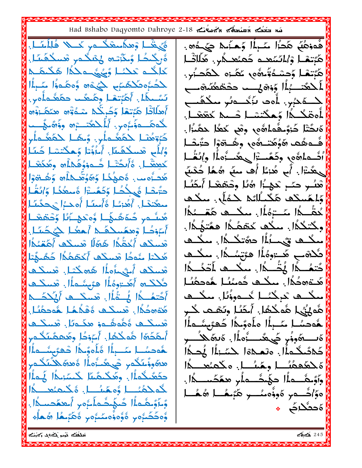Had Bshabo Daqyomto Dahroye 2-18 مَسْتَمَّة بَرْسُهُمْ بَيْنَ بِمَاسَمَة بَيْنَ بِمَاسَمَة بَيْنَ بِ

ى قُامَ وَمِدَ مِعْنَا وَمِدَ اللَّهِ مِنْ اللَّهِ اللَّهُ مِنْ اللَّهِ مِنْ اللَّهِ مِنْ اللَّهِ مِنْ ةُرِجْحُا وُخَّتَه لِمْكُمْرِ مْسَكْفَسًا. كلكم تمحنا وُجُهُكُم كَلَّا مَحْكَمَ لِلْحُبُّوصَلِّكَمَّنِ لِمَ هُوَ وُوصَّوزًا سَبِمًّا تَسْتَخَلَفَ أَهْتَهَا وَهُيْتَ حَقَقُواْوِرِ. أَهْلَاتْنَا هَرَّتْهَا وَحَرِيَّكُمْ سْـهُوّْرَه هِيَعَـٰزَوْهِ لكوكَــوَوُمُومِنِ. ٱلْمَكْتَنَــــوْ۞ ووَّ۞مَكَـــب كَرْوْهُنْمَا حْكَمْْدَاْبِ. وُحْمَمَا حْكَمْدَاْبِ وُٱلَّٰٓبِ ۚ قَسِيكُمِّيَّا ۚ ٱلۡرُّبَّٰٰٓٓ ۚ وَ مِكْتِسًا جَبَّنَا كَعِنْقُال. ةَأَنْضُلْهُ شُدْوَوُفُكُلُّوه ومُحَكْشًا هُدِءُوبٍ. وُهِجُدًا وُهُوُتُوهَا وَهُوا حَبَّدْا فَيَحْدُا وَكَمَّتْوَا فَسَعْدُا وَٱنْقُا مععَّنكل أهُزئه وَأَمِيدًا أُوجِدُا يَحِكْبِيًا أَعْوَدُا وَمَعْسَدَهُ لَا أَحْمَدَا لِحَيْدَمَنَا. مْسِكْفِ أَحْقُدُا هَوَلًا مْسِكْفِ أَهَمْدُاْ هَٰكُمْا مُعَجُّا شَسْكُفَ أَكْتَفَعُمُّا جُشَبِيَّةِا قسك أَسْ الْأَمْلَ هُ مَكْتَا. قَسَلَتْ طُكْتُ أَهُــْزَوِهُ أَا هَزَيْسُـهِ أَا. هُسَكَـف أَحْتمُكُمْ لِمُسْتُمُلُ قَسْلَاتِ أَيْلَاجُكُ مَّةهكُما. مْسْكُدْ ةْفْكُمْا هُوْحِفُنَا. قسكت ةُهُوشُوز مِكُوبًا. قسكت أَحَكَمَا هُمكْهَا. أَجَوْدًا وهُهمَّسَّدُم الْمَصِيْدا مَحْدِرًا وَكَامَوَنِكَا كَعَرَضِيَّدَا ا هدەُووْمَىْگەر ئېيشىشۇەلل ۋەدەھللىنگەر حَكَمُكُماً . ومُكْتَمَنَا كَسَنْهِ الْمَمالُ لَّدْمَدْهُمْكُمْ وَمَعَّسُكُ، مُكْتَحَمُّدَ جُلَّا وُمَزَوُّمِثُما الصَّهُمَشُما مُرْمِرٍ أَمْعَكَمَسْدًا. وُەككىزُەر ەُۋەۋەسلىزُەر ەُكْبُىغا ھُھاھ

ِ هُوهُمٌ هَدُا سُبِلًا وَحِنَيْكَ حَكْمَةٍ. |هُبْتِهْـا وْالْمُنْعَــْ خَمْعَــدُبِ. هَٰلَاتْـا هَّتِمْا وُحِسْهُوَّمُوْهِ مَكَّزِهِ كَكَحَزُنٍ. لَمْحَمَّنَــــُرُاْ وَٰذِهْلِــــــ حَضَعْكُنُهُـــــ لكَـــكَانِزِ. ــأەت بَزُنْــــــەئر مىڭگىـــــح لمُوصَّكُمُ! وَحِكْتِسْهَا شَــْبِهِ كَعْفَصًا. ەُىكَتْا خَزْوُمِفُمارەُوم وقىي كَعْدَا حَمَّىزًا . فُــوهُـڢ وَوُهُتــوهُ٩ وهُــوْوَا حَبُّـضًـا الْمُنَاهِ الْمَشْتَ الْمَسْتَمَرَّا بِمَثْلُهَ مِنْ الْمَسْتَمَرَّةِ مِنْ الْمَسْتَمَرَّةِ مِنْ الْ لِيَعْتَبَا. أَبِي هُٰذَا أَفَ مِنْ هُوَا دُبْنَهِ لَ |قُتُب حَبْ كَهِـُّوْا هُنْا وَحْقَقْنَا أَيْضًا وَلمَسْكُفْ هَكْسُلَائِهِ حَدُلًا). سَكْتُ عُقُــدًا مَــْتَوْمُلُل. مىڭـــف هَقـــيْدًا وِكْتِكْدًا. سِكْف كَتْقِصُدًا فِمَّتِهُدًا. مىڭىگ قىساڭما دەتكىدا. مىڭىگ ثَلاةمے هُــْزوەُلُمْ هرَّتْمُــدُّا. مىڭــف حَّتهُــــهُ الْحُـــُـــهُ ا. مـكــــك لِمَّتحُـــهُ ا مَّدَة مِكْمًا. مِكْتَ دُمِمُبُّا هُوَجِعُبًا مىڭىگ تىرڭئىل ئىسەوۋُئل. مىڭىگ هُولِئُي\ هُوكُهُا. أَيضُا وتُهْبِ كُب هُدَمَنْــا مَــْـرِاُ 1هُ.وُـدُا كَــْمَىْــْــدَاْ ەسسەۋۇر كېڭىسۇەلما . ەنەكلىسىز كَمْثَىكُماً. وتَعْمَدْا لِكْسَنَاْ لِمُحَمَّا هُكْعَكْشُدا وهُسُدا. مكْعِنْعْدَدْا وَٱوۡتَفۡــدَاۢا حَجۡتَــداُرٖ مَعۡتَــدَاۢا. |ەوۡ)ھُــــــەرِ ەُووۡوەممُــــرٖ ھَبُعۡـــا ھُـھَـــا  $\bullet$  وَحَثَكَاثَ  $\bullet$ 

بَعْلَمُهُمْ لِمُوْمِ بِمَاءَ بِمَاءَ الْمُسْتَمَرَّةَ بِمَاءَ الْمُؤْمَنَةِ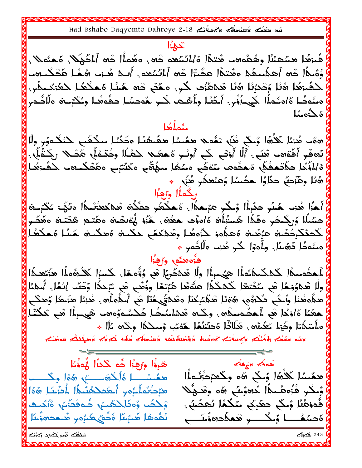Had Bshabo Daqyomto Dahroye 2-18 محتفظة المستحدثة المتفقح بمن

قَىزمُرا مىسِّمىْلُا وهُكُومِب مُتمْلَ ة/السِّيد دُه . ممَّداًا دُه أَالْحَكَمِلا : هَ مَعْمِلا . وُهُنْمَا دُهِ أَهْلَمْنَعُمْ وَهُتَمَّا هَدُنْوَا دُهِ ٱلْمُتَبَعِدِ. أَبْنَ هُدَبَ هُمُنَا هَدْكُنه لْحَقّْبَاهُا هُنُا وُحْدُبُنَا هُنَا شَدْهَنَّاتَ لَكُنَّ مَعْضٌ دُهِ خَسُلَ مُعَكِّفًا لِلْعَنَّكِيمُنّ مِنْعَصًا ةَ/مَثَمَلًا كَجِبْرُوُبٍ. أَيضُلَّا وِلَمْقَـٰهَبِ حَدَّدِهُ حَقَّدَهُمْ وَيُتَجْسِرُهُ مَلَاضُمِرِ ەڭمىلا

## مْدَاْمُا

۞ەۡڡ ﻫُﻨِﻨًﺎ ؉ۡڵُﻫَا وُ̈ٮِﻜُ ﻫُﻦَ ﻳَﻌُﻤَﺪ ﻫَﻌَﺴُﻨًﺎ ﻫَﻌَـَّﻤُﻨًﺎ ﻣَﺤَﺪُّﺎ ﺳَﺪُّﻌَﺐِ ܠَﻨُﺪُّﻮُﺑِ وِﻟْ نَهفَو أَفَتَهم هَبٍّ. أَلَّا أَوْتَى كَم أُوبُـو هَـععَـٰه حَـفُـلًا وِحُدَّمُلًا هَـُــه رِكَـتُهَلّ ة/لمَّدُّل حكَاتَـمفُكِّ هَـمُـمُّـم منّةكُـب منّفُط سهُرَّةً و مَكْتَبَــ مَكْتَــُـمِـب للصَّـزمُــا هُنُا وِهَّزَحَبِّ حَذَّاوُا هِحَسْنَا وَعِنْعِجُمٍ هُنَّهٍ ﴾

كُملًا وَوَا

أَهْزَا هُزم هَسُر حَدَّبِلًا وُحكْرٍ حَبَّىهِدًا. هَـمحْتَفُر حثَكَاثَ شَدْكَتْتُنَدَّا هَنَهُـ: عَكْثِرت حسِّىلًا وَرِيكُنصُرِ وَقَلًّا هَنْتُهُوْهُ وَأُودُفَ بَعَقُوهُ . هُنُوْ يُقْتَضُوهُ وَهُدَى وَهُدَن وهُكُنو كْحِنْتْرِحُتْمِتْ هِزْشِيتْ ةَهِدُّه; حُزَّەتُما وِتْعَمّْكُمُج حَكْمَة ةَهكُمْ هَينُا ةَهكْتُما ەمئەكْل كَھَٰىنُل. وِلَمَوْل كُن هُذِ مَالْقُومِ \*

## فأوهثه وزقوا

أَحدُّمبدًا كَمْكَبِمُثَمَلًا هِيُسِيلًا وِلًا شَمْكُوبًا ۚ هَي وُوُّهجًا. كَبِيبًا كَلُبُوهَا الْمُتَصَدُّا وِلًا مْحَوَّدِهُا مْعِ سَحَّتْهَا خَدَجُدًا هِتُوْمَا هَبَّتْهَا وِذُهُعٍ هِجِ عَبْجَدًا وَجَبِّ إِنْهَا. آنكنا هذُّه هُنا واُلكَ كُلُّهُم، هَاوَنَا هَذَكَرِكْنَا هِ هَدَيَّ هُنَا هُمْ أَلْدُهَاهِ. هُزِيَا هِزَيهُا وَهكْم ـْمَعَمَّا هَاوْكُا هُي أَحْشُومِهُ، وَكُلُّه هُدَامُمُنَكُل كُكْشُووُوهِ- هَيْجِلًا هُي تَكْتَبَلُ هِ أَسْلَاءًا وَكَذِا عَعَْسُو . هَٰلَاتْنَا هَ حَنْنَهُا هَوَجِّ وْسِلْحُا وِكْلَا ﴾

محبوبا المستقا المراكب المحتور المحترك المستحر المستقر المستقر المستقر المستحر المستحر المستحر المستحر المستحر

هْبِوًّا وَرُقِيًّا هُمْ كَلّْدًا هُوَوُّمُا } **TEGEN TEND** همَّسُا ݣَلَاهُا وُحَكَّى هُو وكُعرَجُزْتُماًا همْسُــــا ةُأَحْدَّمَـــــــَى هَءُا وكُـــــب هَزَحَٰنُهَ أَخُومٍ أَحْفَظَهُنَّكُمُّا ۖ أُحَزَّمَنَا ۚ هَٰهُ ا وًىكْبْ فُتُوهُــداً كُدووَّـنَّى ۞و وقْعَــوْبْلا وَلِحْمَٰ وُهَ الْلَّهُنَىٰ شُهْفَتُنَىٰ ۚ وَٱلْحُلُّفَ فُومَٰنُا وُٹِ حمَٰرِکٖ سَکْمُا نُعجَّسَٗ . تُهُوهُا هُدَّينًا وُجُمَّ هُدَّوَمٍ هُدَهَدُوهُنَّا ەَحسَمُـــا وُلگــــو شمكَحەوُلَــــــ

تشاوتهم للإفتار بمابة يتخلفك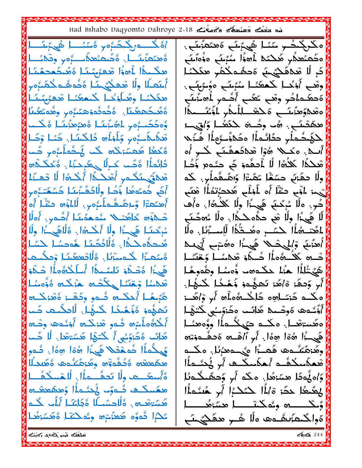Had Bshabo Daqyomto Dahroye 2-18 مَنْ يَوْمُوْ الْمَسْتَمْلِيْنَ بِمَامَا Had Bshabo Daqyomto Dahroye 2-18

ةُهْتَمَنُّتَسَلَّ. ةُشْمَنُهْدَ أَسْبُومِ وَثَمَّسُل محكَّما أردوُا مْدْوُجُتِيَا وْمُحَكَّمَيْهِ ا ٱمۡکَا وَلَا مُعَكَبۡمَا هُدَٰهُـمَكَمَٰٓءُو ۖ منكثار ومُبأوجا لمُتعمَّنا مُعْبِنَباً ةُمَّدَحُمِعَنَّىلَ ۚ ةُحُدَثُووْهِنَّىزُومٍ ۚ وَهُدَّعَعَّىنَا وْەككىبۇەر لمەْنْسَل ەْمْرَمْنَسَل ەْكْس هَكَمَكُــرُومِ وَلَمُوْلُو طُلْكَمَـٰلَ. كَـُـا وْكَـا ةَكَعُدَ هُدَسَةٍ ذَلاهِ اللَّهُ فَهُدَاءٌ وَلا تَحْدَدُ مِنْ اللَّهِ مِنْ دَانُماْ الْمَصْدَةِ بِهِ الْمَسْرِينَ مِنْ الْمِثَانَةِ مِنْ الْمَسْلَمَةِ مِنْ الْمَسْلَمَةِ مِنْ هَدَيَّ سَكْمٍ أَهْلُدًا أَكْدُوا لَا دْهِـذَا أَكُمْ دُوسُوهُا ذُكُلُّ وِلْأَكُفَنَّ بَنَّا كُسَّمَّتّْرُوبِ أَهْكَمْتَوْا وُءَمَّدَهُمْ أُخُومٍ. لُلْمُؤْهِ صَنْتُنَا أَو تْكُوُّه كَاهَْتْمْ شُمْعَقُسًا أَضُمْرٍ. أَمْلًا مُبِكْسًا فَهِجُا وِلًا أَكْدَّا. ةَلَّافَهِجُوا وِلًا مُحدُّوحِكُمْلِ. وُلُاحُصَّىًا هُوجِسًا حَسَّا ةَسَعِزًا لِكُوسْرْنَا. وْالْقَعِعْبَنَا وْمِكْتِف فَيْ الْمُصْلَافِ تَاسَّــداً أَسْلَكْرُهُ مِلْا صْـدَوْ مْحَمْسًا وْحْتَسًا بِكُتْمَ هُزْكُمْ وْدُمْسَا هَبْسُا أَحك ه شُمو وكُفْ: ةَقْزِكْتُه تَعَوَّمَوْ وَذَهَبَكَ كَنَهُا. لْأَصْلُبِ كَب أَلْحُدُّهِ لَهُ مِنْ اللَّهُ مَنْ اللَّهُ مَنْ اللَّهُ وَشَدُّو هَٰالًٰٮ ةَخُوَجُي ٱ ۖ كُتوْلَ هَٰمَٰۃِهَا ۚ. لَٰا حُـب فَهَدَٰاْ خُمِعْقَلًا فَهِذَا 18ْ3ْ 10ْ9ْ. ثُـُّمُو مدهَّمهُم هُدُهُوتُو ومُزمَّعَتُوها هُمَدـلًا ذَأَسكَـــت ولَّا تَحَفَّـــوأَا. لَّاهْسَكُفُـــا همّسكُــْكَ شُــَومٌ لَيُحَسَّمَاْ وَهِكَعِنْقَــْ وَ هَمَّتِهُـــره . ةَلَّاحِمَّــلَّا ةَجَاعَـّـا أَلَمَّــ كُــم ككرا ثُموُّه هُعزُمْوه وشَكْتْلْ ةَهُسَرْهُمْ

ەڭرېڭىمى مَنْا ھُيْئِتَى ەَھتقنَّىتَى. ەكھئىدگىر ھُلككا لَمَاهُوَّا مُبَْتَى مَوْمَٱتَى دً لًا مْدْفَحْيَىمُ هَحشُـْحْمُر منَكْسًا |وقىي أَوْكُمْ كَلْعَقْتُمْ مُبُنَّى وَوُخَيْفَى. |ةحطّماحُر وثَب عَعَب أَحُـمر لِمُعنَنَب ەقىدۇھنىئى كىنىسللىدى لۇنئىسىدا محَكْتَبَ. ٥ وحُـ ٥ كَكُفُـا وَاقِي ا َ كَهُنْدَمَارِ حَدَّانُـٰهِ أَا هَكُمْؤُسْوَٰى اللَّهُ هُـزَى اللَّهَ أَأَسِكَ. هَكُمْ هُوْا هُكُمْ هُمْ كُلّْسٍ أَهْ |مَكَكُمُا كَلَاهُا لَا لْمَحْقَو هَي حِنْـومِ وَّحُـل وِلًا حَفَنِّ حَمَّقًا عَمَّنْٓا وَاصَّفُواُو. كُو أَيْبِ: اوْبِ حِنْنًا أَه الْوَاْبِ هَٰذَكَرُتَهُاْ! هْنَبِ ثُو. وَلَا مُبْكَنَى فَيِيءُ! وِلَا كَلَّـٰهُ!. وَأَه لَّا فَيْ الْمُ الْهُ حِذْهِكُمَا. وَلَا ءُوحَّسَ لمَعْتَــهُلُمْ حَمَّـــمٍ وهُــتَّذُا لَّاِحِــزُّنَا. وَلَا لمعريٌّ وَبِمِلْحِيَا ﴾ [السرط المرغمون] وَمَنْعاً ﴾ [المسمرة: 1] من المرغم في منه المرغم في أمر الم تْــ ۞ كَلْـ ۞ه هُلْمْ هُــدُهِ هُدْمُــا وَحْمَنُــا أَهَّيْتُلِلًا هُزَا حكَّده فُوسُا وِهُوهُا إْلَٰہٖ وَحقَۃ ۃَ/هُد نُعِجْعۃ ذَعَبْدًا كَبِجًا. ەڭــە خَنَــامِه خَلَـكْــەْهْلُم لُهِ وْلَهَـــز أُؤُسُّوها هُوشَــدا هَٰذَالَــا وَخَوَّنَــهِي كُتَـهْـأَــ ەھَىىتقىل. مڭد ئىڭمال وۋەھئىل فَيْ أَنْ هَٰذَا هِ مَا أَمْ أَافْ هِ دَهْـدَهِ وهُزمَّمَتَـــمِ هَمــزُا مُيْـــمِعْرُبُا. مكّــم أَهْمِكُمِيكُفُّمَ أَيْهِكُمِيكُمْ أَبِنَ يُحَشَّمَلُهِ وُ*اُو*يُوطًا هِمَّتْمُا. وكُو أَبِر وَحَصَّكُو*نً*ا } |لمَعْيَدُا حَدٍّ: 116 حَكَثَرُا أَبِي هُنشَه أَا أَهُوالْكُنفُناهُنَا مِنْ اللَّهُ مُفْتَحِيِّ مِنْكُمْ مِنْكُمْ مِنْكُمْ مِنْكُمْ مِنْكُمْ مِنْكُمْ

حَدُبُهُمْ بَعْدِ إِسْمَاءِ مِنْ الْمُعْلَمِينَ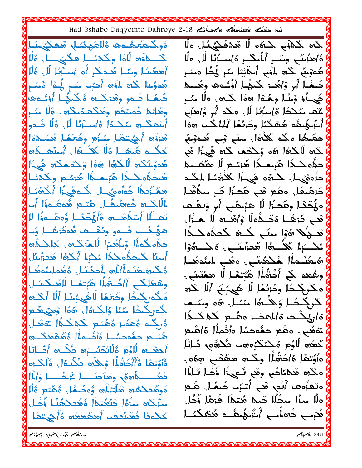Had Bshabo Daqyomto Dahroye 2-18 مَشْتَهَ بَيْنَ الْمُسْتَقْتَة بَعْضَة بَاسَة بَيْنَ الْمُسَاوَّة ا

ةُوكْتْتَرْتَقْتْتْ وْلْلْتَكْتْتْلْ تْتْقْكْيْتْلْ كَـــكوْرَه لَّاهُ! وكَـٰهُـــا كَـُبِيُـــا. ةُلَّا أَهْهَٰنَا مِمَّا هُدِيْ أَو إِسْتَرْنَا لَا. وَلَا هُدوُمَا كُلُّه اوْه أُدَّبَ مَّا إِيُّهَ وَمَّا وَمَّا ضُمُا ثُـهو وقُزِيْـهِ ةَكْلَهُا أَوْيُـهِ ۖ وهَاهُمْ خُمْسْتُمْ وهُكُمْمَكُمْ. ةُلَّا مَّجْ أَسْعَكَــرَه مَحْكَمُ أَيْمِــْرْنَا لَا. وَلَا شُــوم هْزْوْهِ أَحْيَتِهَا مَنْ وَ وَحُرْبُهُا هَنَدْهَا كَكُمْ هَيْشُمْ وَلَا كَلَا وَا. أَسْتَمْ وَالْمُ هُدوٌ مَكْلاهِ لَلْكُلُّهُ أَوْ وَالْمُعَكُّلِهِ فَيْ أَ مُحدُّوحِكُمُ الْمُرْجَعِيمُ الْحَرْسُمِ وَكَلِّمَاتِ هِمَّزُدِهُ الْمُؤْوَىٰ) لِمَدْهُمَانَ الْكُرْمَانَ لمَلَّا كُنْدُهُ شُمْحُمَاً. هُنْدُ هُوهَنَدُوْاً أَبْ تَعَــَلَا أَسْدُمْــــرَةَ أَيُخَمْـَــل وُوصَّــووُّلَ لَل هِهُنگَسَا شَبْعَةٍ وَتُقْسِمَا هُوَدَّرْهُنَا وُب دِمُوكُولُمْ وَٰأَهُمْ لَهُ الْمُؤْكَّرِهِ بِكَلِكَمُ وَ أسلّا كُحدُّه حِدًا حُجْهَ أَكْوَا هُدَأَسًا. ةَ كَتْتَوَمَعْتُمْ أَالْمَاهِ الْحَكْتَبَانِ وَقُوْمَ مُنُوصًا وهَعَلِكُم أَأَحُــٰٓقُلًا هَٰٓتِـقَـا لُلْعَبِـكَينَـا. ةَكْدرِكْبْدًا وَحَرْبُهُا لُاهُيمَ بَنَا ٱلْلَهَ لَكُلَّهِ گەرگىدُا مَمْا وَاكْدُا. ھَءُا وَمَيْھَـم ةُرِجَّد ةُهمَّز ةُهَّدَم حَدَكُمَّا عَامَّدًا. هَيْدِ حِمْوَصُدا وُأَضُواْ وُهُوْمِنْدُ وَ أَحمْــه لُلوُم ةَلَّانَـٰٓتَــْــْ وَهُ حَكْــهِ أَنَّــٰاتْلَ ةَاوۡتِمۡا ةَٱٱۡحَٰقَٰلًا وَحِلَّهِ حُكۡتَمَا ۚ. ةَٱحۡدَ دُهُـــــدُ00) وقدَدَيْـــا تَزْمَٰـــا وُإِلَمْا ةُوهَٰدِكُنْفُرُه شَأْتَبْلُرُه وُوَحَسِمًا. ةُهَّتُم وَّلًا مِبْرِيْكُمْ مِبْوَٰا خَنَعْتَكَا وُهُدِيْهِمَا وُجَارٍ. كْلَمْحَارْ خُعُبِيَّحْفُ أُمْحَمُعِيْهِ ۚ وَٱلْجَهْدَمَاتِ

كُلُّهِ كَلُّمْهُم لَحْدَهُ لَا شَدْفَكَهْمَا. وَلَا ةُ/هِنَمَبِ وِمَبِ ٱلْمَكْمِ ةَإِمِيَّتُهُ لَا. هِلَّا هُدوْسٌ كُلُهَ لَمْهِ أَسْلَيْنَا سُرِ لُمِحًا مِسْرِ حَْىهُا أَبِ وْاهَٰا كُنهُا أَفُتُوه وِهُــٰمِ كَهِدَاؤٍ وَّمِنُـا وِهُـدَا هِوْا كَـــهِ. وَلَا مَنْهِ عْلَمِ مَكْحُلَ هَامِيُّنَا لَّا. مَكَّم أَبِرٍ وُاهِنَّى أَسْرَمِهُمْ هَتَفَكْمًا وِحَرْمُهَا أَلْمَلْكُب 160 حَمَّىقًا مَكَّدَ كَلاَّهَا. سَبَّ وَبَّ هُدَوْسَ كَهُ لَلْكُمُّا مُه مُحْصَّف كُمْ فَيْ أَشْي |حذَّہ كــدًا هَبُـمـدًا هَـٰ:ـَـم لًا منهًــد حَدُّه وَاللَّهُ مَنْ الْمَسْرَةُ السَّلَامُ الْمَحْدَمِ كَاهُبِعًا. وهُم هُدٍ هَجَةًا كَلِ مِلاَّهْل ەھَّدْا وهَٰد،ۢا لَّا ھڔٞىھُب أَبِ وَىصَّـٰ ۖ |قب دَٰزِهُــا هَتَــدُّهِ لَا وۡ{قَــهِ ۖ لَا ـَــدُٰٓا . تَعَــوْلًا 7ُوٓا سَبَ كُــة كَـَدَّه كَــدَّا ىْكْسَرْلْمْ كْلُسْرْهَا هُدْرَْسَبْ . هَكْسْرَهُوْا هَ حَفَّــُــماُ | هُـحْـعَـُــَــَــِ . هُنَـــِ طَــنُـمَعُـــا وهُعه لَمْ أَحُقُهُ الصَّبِّصْلِ لَا هِمَّنْسَى. ەڭجېڭىدا ودَسُعًا لَّا ھُي َئِنَّ ٱلَّا كَلَّهَ كْمِكْتْخَا وُلِكُتْݣَا مِنْتَا. ۞ه ومُتَّفَّ ة/ريكْت ة/لمحَّــز وصُــع ككككراءَ غَمَّى وهُم حفَّوصُا وَاُثُمَاً الْأَهْمَاءُ كَعْدَه لْلُؤُم مُكْتَكَرُهِ مَكْتُوهِ كَاتْلَا |وَأَوَّتَـٰهَا وَاٰحُقَّهُا وِكْــْـهِ مَكْفَـبٍ وَوَوَى. وكُلُّه مْلائلْكُم ومْع نُـعِيدًا وَّحُـا نُـالْمَا ەتھەُوما آئە ھَے آتے۔ شَھُا. ھُــم ءلًا سرًا محُلًا صْبِهِ مُتِمْا فُزِهَا ذُكُلٍ. أَهْرَسٍ دُهلَّبٍ أَخْرَضَتُ هَتَفَكَّسًا

بَعْدُهُمْ بَهُومَ بَهُمْ بَعْدَهُمْ يَحْمَدُونَ